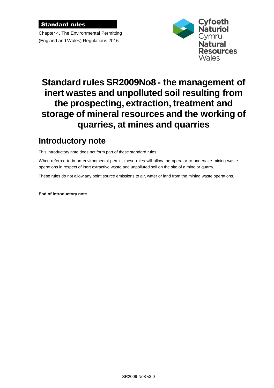#### Standard rules

Chapter 4, The Environmental Permitting (England and Wales) Regulations 2016



# **Standard rules SR2009No8 - the management of inert wastes and unpolluted soil resulting from the prospecting, extraction, treatment and storage of mineral resources and the working of quarries, at mines and quarries**

### **Introductory note**

This introductory note does not form part of these standard rules

When referred to in an environmental permit, these rules will allow the operator to undertake mining waste operations in respect of inert extractive waste and unpolluted soil on the site of a mine or quarry.

These rules do not allow any point source emissions to air, water or land from the mining waste operations.

**End of introductory note**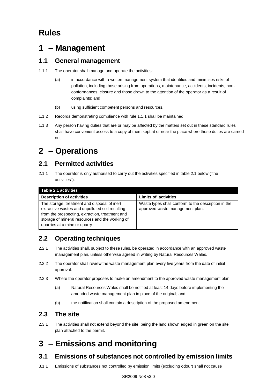## **Rules**

### **1 – Management**

### **1.1 General management**

- 1.1.1 The operator shall manage and operate the activities:
	- (a) in accordance with a written management system that identifies and minimises risks of pollution, including those arising from operations, maintenance, accidents, incidents, nonconformances, closure and those drawn to the attention of the operator as a result of complaints; and
	- (b) using sufficient competent persons and resources.
- 1.1.2 Records demonstrating compliance with rule 1.1.1 shall be maintained.
- 1.1.3 Any person having duties that are or may be affected by the matters set out in these standard rules shall have convenient access to a copy of them kept at or near the place where those duties are carried out.

# **2 – Operations**

### **2.1 Permitted activities**

2.1.1 The operator is only authorised to carry out the activities specified in table 2.1 below ("the activities").

| Table 2.1 activities                                                                                                                                                                                                                  |                                                                                        |
|---------------------------------------------------------------------------------------------------------------------------------------------------------------------------------------------------------------------------------------|----------------------------------------------------------------------------------------|
| <b>Description of activities</b>                                                                                                                                                                                                      | <b>Limits of activities</b>                                                            |
| The storage, treatment and disposal of inert<br>extractive wastes and unpolluted soil resulting<br>from the prospecting, extraction, treatment and<br>storage of mineral resources and the working of<br>quarries at a mine or quarry | Waste types shall conform to the description in the<br>approved waste management plan. |

### **2.2 Operating techniques**

- 2.2.1 The activities shall, subject to these rules, be operated in accordance with an approved waste management plan, unless otherwise agreed in writing by Natural Resources Wales.
- 2.2.2 The operator shall review the waste management plan every five years from the date of initial approval.
- 2.2.3 Where the operator proposes to make an amendment to the approved waste management plan:
	- (a) Natural Resources Wales shall be notified at least 14 days before implementing the amended waste management plan in place of the original; and
	- (b) the notification shall contain a description of the proposed amendment.

### **2.3 The site**

2.3.1 The activities shall not extend beyond the site, being the land shown edged in green on the site plan attached to the permit.

# **3 – Emissions and monitoring**

### **3.1 Emissions of substances not controlled by emission limits**

3.1.1 Emissions of substances not controlled by emission limits (excluding odour) shall not cause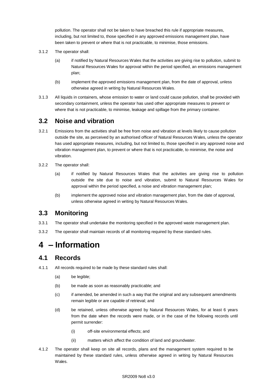pollution. The operator shall not be taken to have breached this rule if appropriate measures, including, but not limited to, those specified in any approved emissions management plan, have been taken to prevent or where that is not practicable, to minimise, those emissions.

- 3.1.2 The operator shall:
	- (a) if notified by Natural Resources Wales that the activities are giving rise to pollution, submit to Natural Resources Wales for approval within the period specified, an emissions management plan;
	- (b) implement the approved emissions management plan, from the date of approval, unless otherwise agreed in writing by Natural Resources Wales.
- 3.1.3 All liquids in containers, whose emission to water or land could cause pollution, shall be provided with secondary containment, unless the operator has used other appropriate measures to prevent or where that is not practicable, to minimise, leakage and spillage from the primary container.

### **3.2 Noise and vibration**

- 3.2.1 Emissions from the activities shall be free from noise and vibration at levels likely to cause pollution outside the site, as perceived by an authorised officer of Natural Resources Wales, unless the operator has used appropriate measures, including, but not limited to, those specified in any approved noise and vibration management plan, to prevent or where that is not practicable, to minimise, the noise and vibration.
- 3.2.2 The operator shall:
	- (a) if notified by Natural Resources Wales that the activities are giving rise to pollution outside the site due to noise and vibration, submit to Natural Resources Wales for approval within the period specified, a noise and vibration management plan;
	- (b) implement the approved noise and vibration management plan, from the date of approval, unless otherwise agreed in writing by Natural Resources Wales.

### **3.3 Monitoring**

- 3.3.1 The operator shall undertake the monitoring specified in the approved waste management plan.
- 3.3.2 The operator shall maintain records of all monitoring required by these standard rules.

### **4 – Information**

### **4.1 Records**

- 4.1.1 All records required to be made by these standard rules shall:
	- (a) be legible;
	- (b) be made as soon as reasonably practicable; and
	- (c) if amended, be amended in such a way that the original and any subsequent amendments remain legible or are capable of retrieval; and
	- (d) be retained, unless otherwise agreed by Natural Resources Wales, for at least 6 years from the date when the records were made, or in the case of the following records until permit surrender:
		- (i) off-site environmental effects; and
		- (ii) matters which affect the condition of land and groundwater.
- 4.1.2 The operator shall keep on site all records, plans and the management system required to be maintained by these standard rules, unless otherwise agreed in writing by Natural Resources Wales.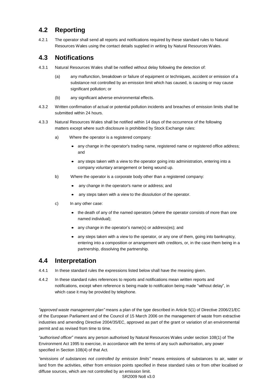### **4.2 Reporting**

4.2.1 The operator shall send all reports and notifications required by these standard rules to Natural Resources Wales using the contact details supplied in writing by Natural Resources Wales.

### **4.3 Notifications**

- 4.3.1 Natural Resources Wales shall be notified without delay following the detection of:
	- (a) any malfunction, breakdown or failure of equipment or techniques, accident or emission of a substance not controlled by an emission limit which has caused, is causing or may cause significant pollution; or
	- (b) any significant adverse environmental effects.
- 4.3.2 Written confirmation of actual or potential pollution incidents and breaches of emission limits shall be submitted within 24 hours.
- 4.3.3 Natural Resources Wales shall be notified within 14 days of the occurrence of the following matters except where such disclosure is prohibited by Stock Exchange rules:
	- a) Where the operator is a registered company:
		- any change in the operator's trading name, registered name or registered office address; and
		- any steps taken with a view to the operator going into administration, entering into a company voluntary arrangement or being wound up.
	- b) Where the operator is a corporate body other than a registered company:
		- any change in the operator's name or address; and
		- any steps taken with a view to the dissolution of the operator.
	- c) In any other case:
		- the death of any of the named operators (where the operator consists of more than one named individual);
		- any change in the operator's name(s) or address(es); and
		- any steps taken with a view to the operator, or any one of them, going into bankruptcy, entering into a composition or arrangement with creditors, or, in the case them being in a partnership, dissolving the partnership.

#### **4.4 Interpretation**

- 4.4.1 In these standard rules the expressions listed below shall have the meaning given.
- 4.4.2 In these standard rules references to reports and notifications mean written reports and notifications, except when reference is being made to notification being made "without delay", in which case it may be provided by telephone.

*"approved waste management plan"* means a plan of the type described in Article 5(1) of Directive 2006/21/EC of the European Parliament and of the Council of 15 March 2006 on the management of waste from extractive industries and amending Directive 2004/35/EC, approved as part of the grant or variation of an environmental permit and as revised from time to time.

*"authorised officer*" means any person authorised by Natural Resources Wales under section 108(1) of The Environment Act 1995 to exercise, in accordance with the terms of any such authorisation, any power specified in Section 108(4) of that Act*.*

*"emissions of substances not controlled by emission limits"* means emissions of substances to air, water or land from the activities, either from emission points specified in these standard rules or from other localised or diffuse sources, which are not controlled by an emission limit.

SR2009 No8 v3.0